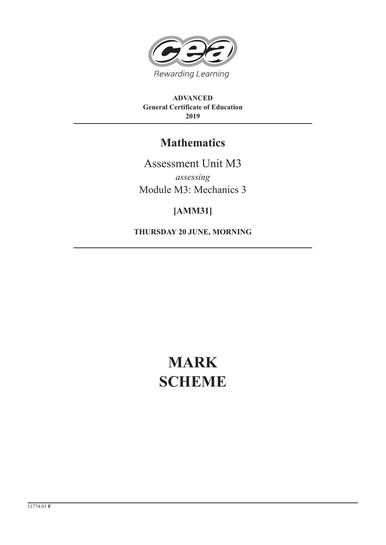

**ADVANCED General Certificate of Education 2019**

# **Mathematics**

Assessment Unit M3 *assessing* Module M3: Mechanics 3

## **[AMM31]**

**THURSDAY 20 JUNE, MORNING**

# **MARK SCHEME**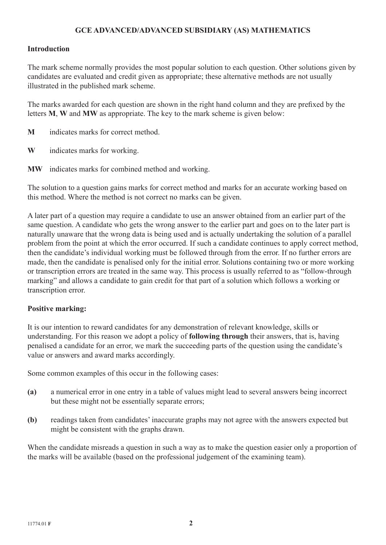## **GCE ADVANCED/ADVANCED SUBSIDIARY (AS) MATHEMATICS**

### **Introduction**

The mark scheme normally provides the most popular solution to each question. Other solutions given by candidates are evaluated and credit given as appropriate; these alternative methods are not usually illustrated in the published mark scheme.

The marks awarded for each question are shown in the right hand column and they are prefixed by the letters **M**, **W** and **MW** as appropriate. The key to the mark scheme is given below:

- **M** indicates marks for correct method.
- **W** indicates marks for working.
- **MW** indicates marks for combined method and working.

The solution to a question gains marks for correct method and marks for an accurate working based on this method. Where the method is not correct no marks can be given.

A later part of a question may require a candidate to use an answer obtained from an earlier part of the same question. A candidate who gets the wrong answer to the earlier part and goes on to the later part is naturally unaware that the wrong data is being used and is actually undertaking the solution of a parallel problem from the point at which the error occurred. If such a candidate continues to apply correct method, then the candidate's individual working must be followed through from the error. If no further errors are made, then the candidate is penalised only for the initial error. Solutions containing two or more working or transcription errors are treated in the same way. This process is usually referred to as "follow-through marking" and allows a candidate to gain credit for that part of a solution which follows a working or transcription error.

#### **Positive marking:**

It is our intention to reward candidates for any demonstration of relevant knowledge, skills or understanding. For this reason we adopt a policy of **following through** their answers, that is, having penalised a candidate for an error, we mark the succeeding parts of the question using the candidate's value or answers and award marks accordingly.

Some common examples of this occur in the following cases:

- **(a)** a numerical error in one entry in a table of values might lead to several answers being incorrect but these might not be essentially separate errors;
- **(b)** readings taken from candidates' inaccurate graphs may not agree with the answers expected but might be consistent with the graphs drawn.

When the candidate misreads a question in such a way as to make the question easier only a proportion of the marks will be available (based on the professional judgement of the examining team).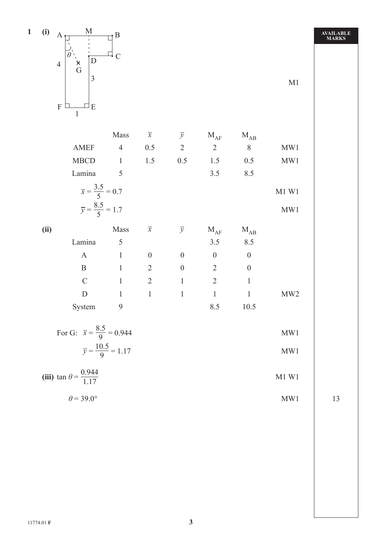

|      |                                                                    | Mass           | $\overline{x}$   | $\overline{y}$   | $M_{AF}$         | $M_{AB}$         |                 |
|------|--------------------------------------------------------------------|----------------|------------------|------------------|------------------|------------------|-----------------|
|      | <b>AMEF</b>                                                        | $\overline{4}$ | 0.5              | $\overline{2}$   | $\overline{2}$   | 8                | MW1             |
|      | <b>MBCD</b>                                                        | $\mathbf{1}$   | 1.5              | 0.5              | 1.5              | 0.5              | MW1             |
|      | Lamina                                                             | 5              |                  |                  | 3.5              | 8.5              |                 |
|      | $\bar{x} = \frac{3.5}{5} = 0.7$<br>$\bar{y} = \frac{8.5}{5} = 1.7$ |                |                  |                  |                  |                  | M1 W1           |
|      |                                                                    |                |                  |                  |                  |                  | MW1             |
|      |                                                                    |                |                  |                  |                  |                  |                 |
| (ii) |                                                                    | Mass           | $\overline{x}$   | $\overline{y}$   | $M_{AF}$         | $M_{AB}$         |                 |
|      | Lamina                                                             | 5              |                  |                  | 3.5              | 8.5              |                 |
|      | $\mathbf{A}$                                                       | $\mathbf{1}$   | $\boldsymbol{0}$ | $\boldsymbol{0}$ | $\boldsymbol{0}$ | $\boldsymbol{0}$ |                 |
|      | $\mathbf B$                                                        | $\mathbf{1}$   | $\overline{2}$   | $\overline{0}$   | $\overline{2}$   | $\overline{0}$   |                 |
|      | $\mathcal{C}$                                                      | $\mathbf{1}$   | $\overline{2}$   | $\mathbf{1}$     | $\overline{2}$   | 1                |                 |
|      | D                                                                  | $\mathbf{1}$   | $\mathbf{1}$     | $\mathbf{1}$     | $\mathbf{1}$     | 1                | MW <sub>2</sub> |

| For G: $\bar{x} = \frac{8.5}{9} = 0.944$ | MWI          |
|------------------------------------------|--------------|
| $\overline{y} = \frac{10.5}{9} = 1.17$   | $\text{MW}1$ |

| (iii) $\tan \theta = \frac{0.944}{1.17}$ | M1 W1 |  |
|------------------------------------------|-------|--|
| $\theta$ = 39.0°                         | MW1   |  |

**AVAILABLE MARKS**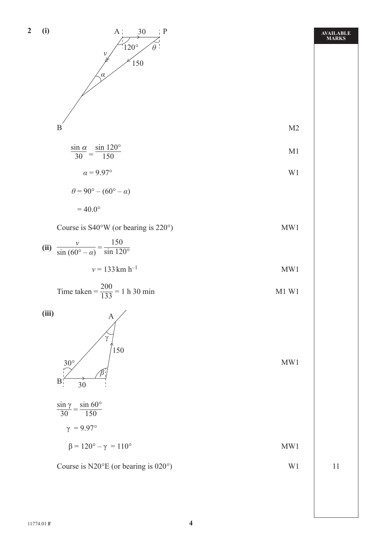

**AVAILABLE MARKS**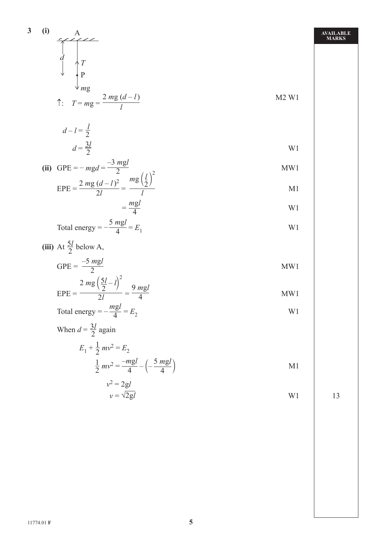3 (i)  
\n
$$
\frac{A}{d} \qquad T
$$
\n
$$
\frac{P}{mg}
$$
\n
$$
\frac{1}{T} = mg = \frac{2 mg (d - 1)}{l}
$$
\n
$$
d - l = \frac{l}{2}
$$
\n
$$
d = \frac{3l}{2}
$$
\n(ii) GPE =  $-mgd = \frac{-3 mgl}{2}$   
\n
$$
FPE = \frac{2 mg (d - 1)^2}{2l} = \frac{mg}{l}
$$
\n
$$
= \frac{mgl}{4}
$$
\n
$$
= \frac{mgl}{4}
$$
\n
$$
= \frac{2 mg (\frac{5l}{2} - l)^2}{2l} = \frac{9 mgl}{4}
$$
\n
$$
EPE = \frac{-5 mgl}{2}
$$
\n
$$
EPE = \frac{2 mg (\frac{5l}{2} - l)^2}{2l} = \frac{9 mgl}{4}
$$
\n
$$
EPE = \frac{2}{2l} = \frac{mgl}{4}
$$
\n
$$
= \frac{2}{l} = \frac{mgl}{2}
$$
\n
$$
= \frac{2}{l} = \frac{mgl}{4}
$$
\n
$$
= \frac{2}{l} = \frac{mgl}{4} = E_2
$$
\n
$$
= \frac{1}{2} \text{ m}^2 = \frac{-mgl}{4} - \left(-\frac{5 mgl}{4}\right)
$$
\n
$$
= \frac{3}{2} \text{ m}^2 = \frac{-mgl}{4} - \left(-\frac{5 mgl}{4}\right)
$$
\n
$$
= \frac{3}{2} \text{ m}^2 = \frac{-mgl}{4} - \left(-\frac{5 mgl}{4}\right)
$$
\n
$$
= \frac{3}{2} \text{ m}^2 = \frac{-mgl}{4} - \left(-\frac{5 mgl}{4}\right)
$$
\n
$$
= \frac{3}{2} \text{ m}^2 = \frac{-mgl}{4} - \left(-\frac{5 mgl}{4}\right)
$$
\n
$$
= \frac{3}{2} \text{ m}^2 = \frac{-mgl}{4}
$$
\n
$$
= \frac{3}{2} \text{ m}^2 = \frac{-mgl}{4}
$$
\n
$$
= \frac{3}{2} \text{ m}^2 = \frac{-mgl}{4}
$$
\n

$$
v = \sqrt{2gl} \tag{13}
$$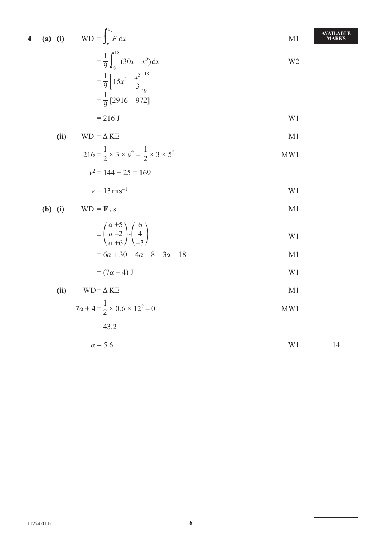4 **(a)** (i) 
$$
WD = \int_{x_1}^{x_2} F dx
$$
  
\n
$$
= \frac{1}{9} \int_{9}^{18} (30x - x^2) dx
$$
\n
$$
= \frac{1}{9} \left[ 15x^2 - \frac{x^3}{3} \right]_{9}^{18}
$$
\n
$$
= \frac{1}{9} [2916 - 972]
$$
\n
$$
= 216 J
$$
\n(ii)  $WD = \Delta KE$   
\n
$$
216 = \frac{1}{2} \times 3 \times y^2 - \frac{1}{2} \times 3 \times 5^2
$$
\n
$$
y^2 = 144 + 25 = 169
$$
\n
$$
MNI
$$

$$
v = 13 \,\mathrm{m}\,\mathrm{s}^{-1}
$$

**(b) (i)** 
$$
WD = F \, . \, s
$$

$$
= \begin{pmatrix} \alpha+5 \\ \alpha-2 \\ \alpha+6 \end{pmatrix} \cdot \begin{pmatrix} 6 \\ 4 \\ -3 \end{pmatrix}
$$
 W1  
=  $6\alpha + 30 + 4\alpha - 8 - 3\alpha - 18$  M1

$$
0\alpha + 30 + 4\alpha = 0
$$

$$
= (7\alpha + 4) J
$$

$$
(ii) \t WD = \Delta KE
$$

$$
7\alpha + 4 = \frac{1}{2} \times 0.6 \times 12^2 - 0
$$
 MW1

$$
=43.2
$$

$$
\alpha = 5.6 \qquad \qquad \text{W1} \qquad \qquad 14
$$

**AVAILABLE**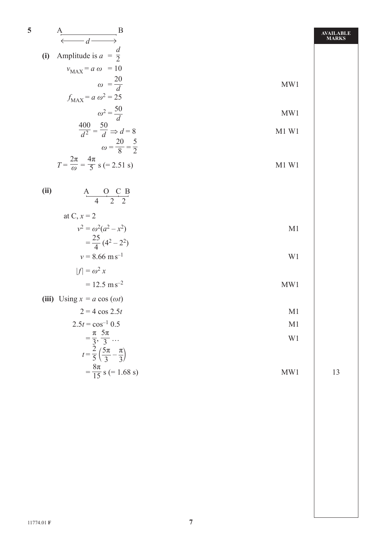| 5    | $\overline{B}$<br>A<br>$\leftarrow d$                                                       |                | <b>AVAILABLE</b><br><b>MARKS</b> |
|------|---------------------------------------------------------------------------------------------|----------------|----------------------------------|
| (i)  | Amplitude is $a = \frac{d}{2}$                                                              |                |                                  |
|      | $v_{MAX} = a \omega = 10$                                                                   |                |                                  |
|      | $\omega = \frac{20}{d}$                                                                     | MW1            |                                  |
|      | $f_{MAX} = a \omega^2 = 25$                                                                 |                |                                  |
|      | $\omega^2 = \frac{50}{d}$                                                                   | MW1            |                                  |
|      |                                                                                             |                |                                  |
|      | $\frac{400}{d^2} = \frac{50}{d} \Rightarrow d = 8$<br>$\omega = \frac{20}{8} = \frac{5}{2}$ | M1 W1          |                                  |
|      |                                                                                             |                |                                  |
|      | $T = \frac{2\pi}{\omega} = \frac{4\pi}{5}$ s (= 2.51 s)                                     | M1 W1          |                                  |
| (ii) |                                                                                             |                |                                  |
|      | $A$ O C B<br>4 2 2                                                                          |                |                                  |
|      | at C, $x = 2$                                                                               |                |                                  |
|      | $v^2 = \omega^2(a^2 - x^2)$                                                                 | M <sub>1</sub> |                                  |
|      | $=\frac{25}{4}(4^2-2^2)$                                                                    |                |                                  |
|      | $v = 8.66$ m s <sup>-1</sup>                                                                | W1             |                                  |
|      | $ f  = \omega^2 x$                                                                          |                |                                  |
|      | $= 12.5$ m s <sup>-2</sup>                                                                  | MW1            |                                  |
|      | (iii) Using $x = a \cos(\omega t)$                                                          |                |                                  |
|      | $2 = 4 \cos 2.5t$                                                                           | M <sub>1</sub> |                                  |
|      | $2.5t = \cos^{-1} 0.5$                                                                      | M1             |                                  |
|      | $=\frac{\pi}{3}, \frac{5\pi}{3} \dots$                                                      | W1             |                                  |
|      | $t = \frac{2}{5} \left( \frac{5\pi}{3} - \frac{\pi}{3} \right)$                             |                |                                  |
|      |                                                                                             |                |                                  |
|      | $=\frac{8\pi}{15}$ s (= 1.68 s)                                                             | MW1            | 13                               |
|      |                                                                                             |                |                                  |
|      |                                                                                             |                |                                  |
|      |                                                                                             |                |                                  |
|      |                                                                                             |                |                                  |
|      |                                                                                             |                |                                  |
|      |                                                                                             |                |                                  |
|      |                                                                                             |                |                                  |
|      |                                                                                             |                |                                  |
|      |                                                                                             |                |                                  |